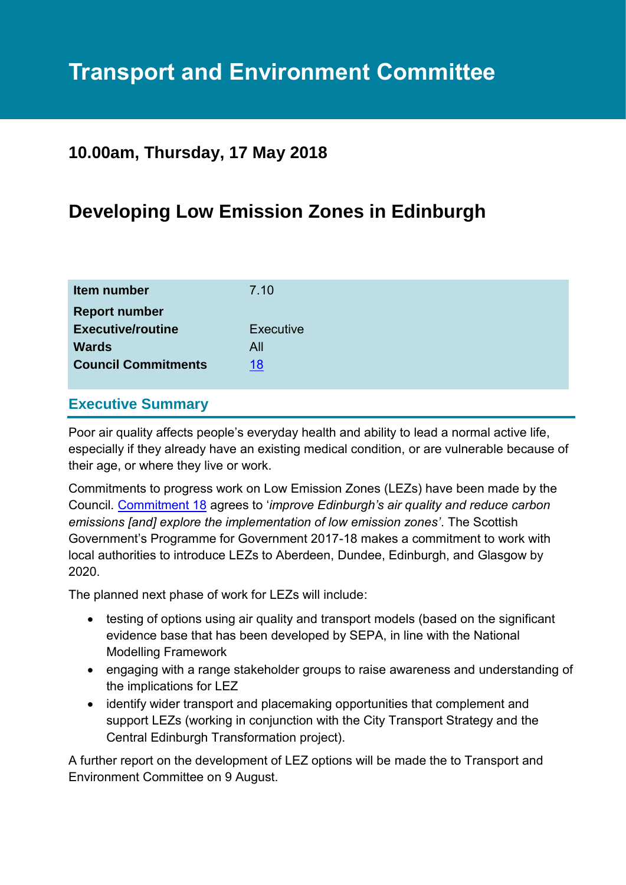# **Transport and Environment Committee**

# **10.00am, Thursday, 17 May 2018**

# **Developing Low Emission Zones in Edinburgh**

| Item number                | 7.10             |
|----------------------------|------------------|
| <b>Report number</b>       |                  |
| <b>Executive/routine</b>   | <b>Executive</b> |
| <b>Wards</b>               | All              |
| <b>Council Commitments</b> | 18               |
|                            |                  |

### **Executive Summary**

Poor air quality affects people's everyday health and ability to lead a normal active life, especially if they already have an existing medical condition, or are vulnerable because of their age, or where they live or work.

Commitments to progress work on Low Emission Zones (LEZs) have been made by the Council. [Commitment 18](http://www.edinburgh.gov.uk/info/20141/council_pledges/694/deliver_a_sustainable_future) agrees to '*improve Edinburgh's air quality and reduce carbon emissions [and] explore the implementation of low emission zones'*. The Scottish Government's Programme for Government 2017-18 makes a commitment to work with local authorities to introduce LEZs to Aberdeen, Dundee, Edinburgh, and Glasgow by 2020.

The planned next phase of work for LEZs will include:

- testing of options using air quality and transport models (based on the significant evidence base that has been developed by SEPA, in line with the National Modelling Framework
- engaging with a range stakeholder groups to raise awareness and understanding of the implications for LEZ
- identify wider transport and placemaking opportunities that complement and support LEZs (working in conjunction with the City Transport Strategy and the Central Edinburgh Transformation project).

A further report on the development of LEZ options will be made the to Transport and Environment Committee on 9 August.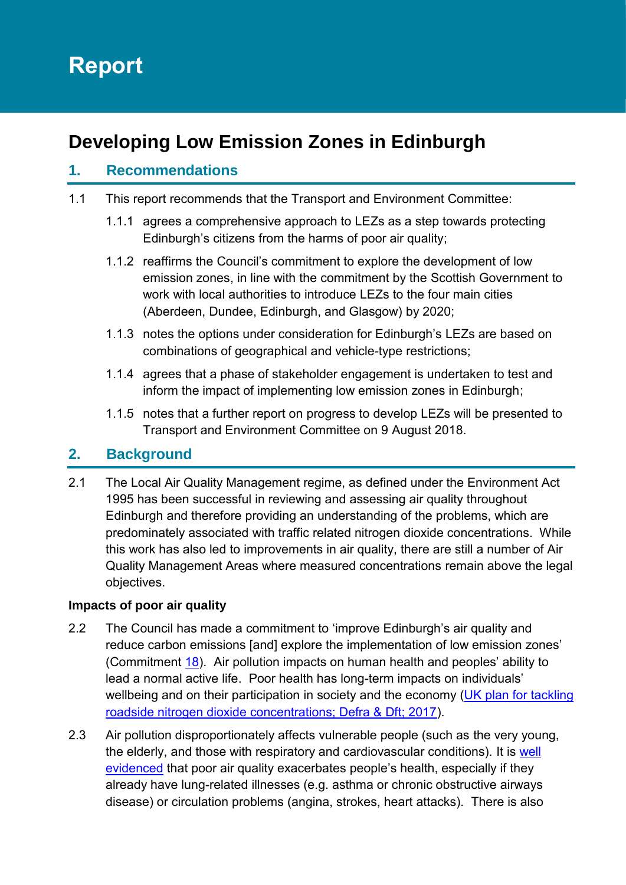# **Report**

# **Developing Low Emission Zones in Edinburgh**

# **1. Recommendations**

- 1.1 This report recommends that the Transport and Environment Committee:
	- 1.1.1 agrees a comprehensive approach to LEZs as a step towards protecting Edinburgh's citizens from the harms of poor air quality;
	- 1.1.2 reaffirms the Council's commitment to explore the development of low emission zones, in line with the commitment by the Scottish Government to work with local authorities to introduce LEZs to the four main cities (Aberdeen, Dundee, Edinburgh, and Glasgow) by 2020;
	- 1.1.3 notes the options under consideration for Edinburgh's LEZs are based on combinations of geographical and vehicle-type restrictions;
	- 1.1.4 agrees that a phase of stakeholder engagement is undertaken to test and inform the impact of implementing low emission zones in Edinburgh;
	- 1.1.5 notes that a further report on progress to develop LEZs will be presented to Transport and Environment Committee on 9 August 2018.

# **2. Background**

2.1 The Local Air Quality Management regime, as defined under the Environment Act 1995 has been successful in reviewing and assessing air quality throughout Edinburgh and therefore providing an understanding of the problems, which are predominately associated with traffic related nitrogen dioxide concentrations. While this work has also led to improvements in air quality, there are still a number of Air Quality Management Areas where measured concentrations remain above the legal objectives.

#### **Impacts of poor air quality**

- 2.2 The Council has made a commitment to 'improve Edinburgh's air quality and reduce carbon emissions [and] explore the implementation of low emission zones' (Commitment [18\)](http://www.edinburgh.gov.uk/info/20141/council_pledges/694/deliver_a_sustainable_future). Air pollution impacts on human health and peoples' ability to lead a normal active life. Poor health has long-term impacts on individuals' wellbeing and on their participation in society and the economy (UK plan for tackling [roadside nitrogen dioxide concentrations; Defra & Dft; 2017\)](https://www.gov.uk/government/uploads/system/uploads/attachment_data/file/633270/air-quality-plan-detail.pdf).
- 2.3 Air pollution disproportionately affects vulnerable people (such as the very young, the elderly, and those with respiratory and cardiovascular conditions). It is [well](http://www.euro.who.int/__data/assets/pdf_file/0004/193108/REVIHAAP-Final-technical-report-final-version.pdf?ua=1)  [evidenced](http://www.euro.who.int/__data/assets/pdf_file/0004/193108/REVIHAAP-Final-technical-report-final-version.pdf?ua=1) that poor air quality exacerbates people's health, especially if they already have lung-related illnesses (e.g. asthma or chronic obstructive airways disease) or circulation problems (angina, strokes, heart attacks). There is also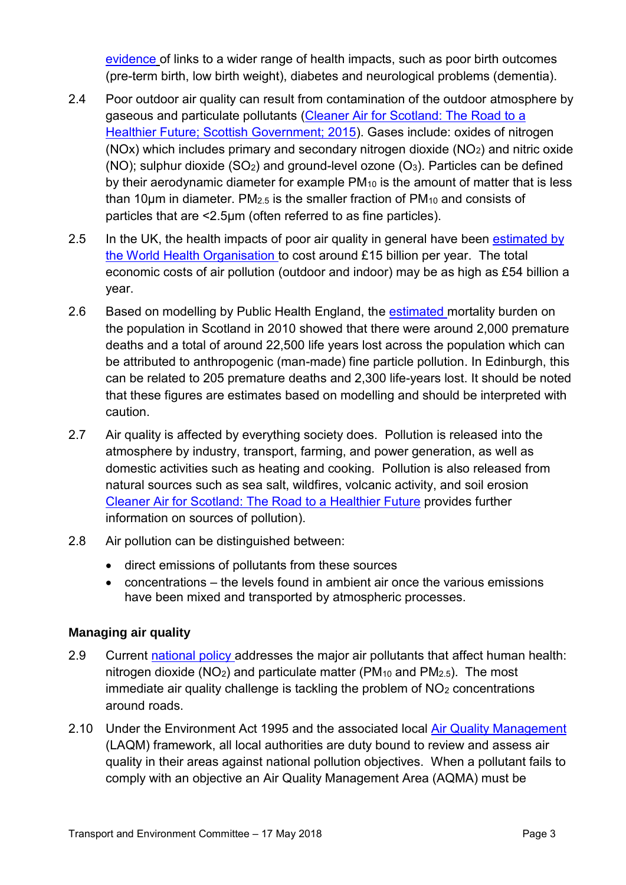[evidence](https://www.cleanairday.org.uk/references) of links to a wider range of health impacts, such as poor birth outcomes (pre-term birth, low birth weight), diabetes and neurological problems (dementia).

- 2.4 Poor outdoor air quality can result from contamination of the outdoor atmosphere by gaseous and particulate pollutants [\(Cleaner Air for Scotland: The Road to a](http://www.gov.scot/Resource/0048/00488493.pdf)  [Healthier Future; Scottish Government; 2015\)](http://www.gov.scot/Resource/0048/00488493.pdf). Gases include: oxides of nitrogen (NOx) which includes primary and secondary nitrogen dioxide ( $NO<sub>2</sub>$ ) and nitric oxide (NO); sulphur dioxide  $(SO<sub>2</sub>)$  and ground-level ozone  $(O<sub>3</sub>)$ . Particles can be defined by their aerodynamic diameter for example PM<sup>10</sup> is the amount of matter that is less than 10μm in diameter. PM2.5 is the smaller fraction of PM<sup>10</sup> and consists of particles that are <2.5μm (often referred to as fine particles).
- 2.5 In the UK, the health impacts of poor air quality in general have been estimated by [the World Health Organisation](http://www.euro.who.int/__data/assets/pdf_file/0008/276956/PR_Economics-Annex_en.pdf?ua=1) to cost around £15 billion per year. The total economic costs of air pollution (outdoor and indoor) may be as high as £54 billion a year.
- 2.6 Based on modelling by Public Health England, the [estimated](https://www.gov.uk/government/uploads/system/uploads/attachment_data/file/332854/PHE_CRCE_010.pdf) mortality burden on the population in Scotland in 2010 showed that there were around 2,000 premature deaths and a total of around 22,500 life years lost across the population which can be attributed to anthropogenic (man-made) fine particle pollution. In Edinburgh, this can be related to 205 premature deaths and 2,300 life-years lost. It should be noted that these figures are estimates based on modelling and should be interpreted with caution.
- 2.7 Air quality is affected by everything society does. Pollution is released into the atmosphere by industry, transport, farming, and power generation, as well as domestic activities such as heating and cooking. Pollution is also released from natural sources such as sea salt, wildfires, volcanic activity, and soil erosion [Cleaner Air for Scotland: The Road to a Healthier Future](http://www.gov.scot/Resource/0048/00488493.pdf) provides further information on sources of pollution).
- 2.8 Air pollution can be distinguished between:
	- direct emissions of pollutants from these sources
	- concentrations the levels found in ambient air once the various emissions have been mixed and transported by atmospheric processes.

# **Managing air quality**

- 2.9 Current [national policy](http://www.gov.scot/Resource/0048/00488493.pdf) addresses the major air pollutants that affect human health: nitrogen dioxide ( $NO<sub>2</sub>$ ) and particulate matter ( $PM<sub>10</sub>$  and  $PM<sub>2.5</sub>$ ). The most immediate air quality challenge is tackling the problem of NO<sub>2</sub> concentrations around roads.
- 2.10 Under the Environment Act 1995 and the associated local [Air Quality Management](https://laqm.defra.gov.uk/)  (LAQM) framework, all local authorities are duty bound to review and assess air quality in their areas against national pollution objectives. When a pollutant fails to comply with an objective an Air Quality Management Area (AQMA) must be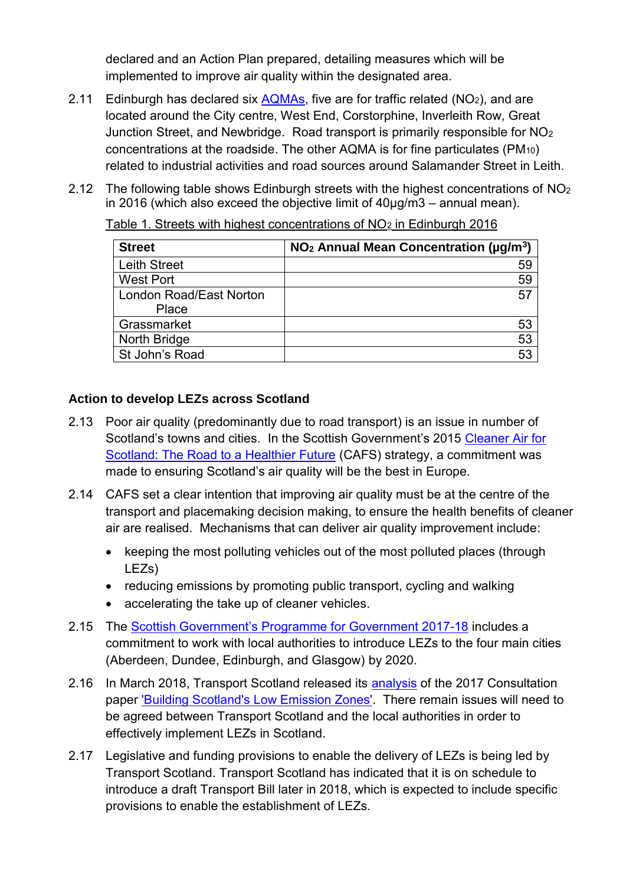declared and an Action Plan prepared, detailing measures which will be implemented to improve air quality within the designated area.

- 2.11 Edinburgh has declared six  $AQMAS$ , five are for traffic related  $(NO<sub>2</sub>)$ , and are located around the City centre, West End, Corstorphine, Inverleith Row, Great Junction Street, and Newbridge. Road transport is primarily responsible for NO<sup>2</sup> concentrations at the roadside. The other AQMA is for fine particulates (PM10) related to industrial activities and road sources around Salamander Street in Leith.
- 2.12 The following table shows Edinburgh streets with the highest concentrations of NO<sup>2</sup> in 2016 (which also exceed the objective limit of  $40\mu g/m3$  – annual mean).

| <b>Street</b>           | $NO2$ Annual Mean Concentration ( $\mu$ g/m <sup>3</sup> ) |
|-------------------------|------------------------------------------------------------|
| <b>Leith Street</b>     | 59                                                         |
| <b>West Port</b>        | 59                                                         |
| London Road/East Norton | 57                                                         |
| Place                   |                                                            |
| Grassmarket             | 53                                                         |
| North Bridge            | 53                                                         |
| St John's Road          | 53                                                         |

Table 1. Streets with highest concentrations of  $NO<sub>2</sub>$  in Edinburgh 2016

### **Action to develop LEZs across Scotland**

- 2.13 Poor air quality (predominantly due to road transport) is an issue in number of Scotland's towns and cities. In the Scottish Government's 2015 [Cleaner Air for](http://www.gov.scot/Resource/0048/00488493.pdf)  [Scotland: The Road to a Healthier Future](http://www.gov.scot/Resource/0048/00488493.pdf) (CAFS) strategy, a commitment was made to ensuring Scotland's air quality will be the best in Europe.
- 2.14 CAFS set a clear intention that improving air quality must be at the centre of the transport and placemaking decision making, to ensure the health benefits of cleaner air are realised. Mechanisms that can deliver air quality improvement include:
	- keeping the most polluting vehicles out of the most polluted places (through LEZs)
	- reducing emissions by promoting public transport, cycling and walking
	- accelerating the take up of cleaner vehicles.
- 2.15 The [Scottish Government's Programme for Government 2017-18](http://www.gov.scot/Publications/2017/09/8468) includes a commitment to work with local authorities to introduce LEZs to the four main cities (Aberdeen, Dundee, Edinburgh, and Glasgow) by 2020.
- 2.16 In March 2018, Transport Scotland released its [analysis](https://www.transport.gov.scot/news/responses-to-low-emission-zone-lez-consultation-now-analysed/) of the 2017 Consultation paper ['Building Scotland's Low Emission Zones'.](https://consult.gov.scot/transport-scotland/building-scotlands-low-emission-zones/) There remain issues will need to be agreed between Transport Scotland and the local authorities in order to effectively implement LEZs in Scotland.
- 2.17 Legislative and funding provisions to enable the delivery of LEZs is being led by Transport Scotland. Transport Scotland has indicated that it is on schedule to introduce a draft Transport Bill later in 2018, which is expected to include specific provisions to enable the establishment of LEZs.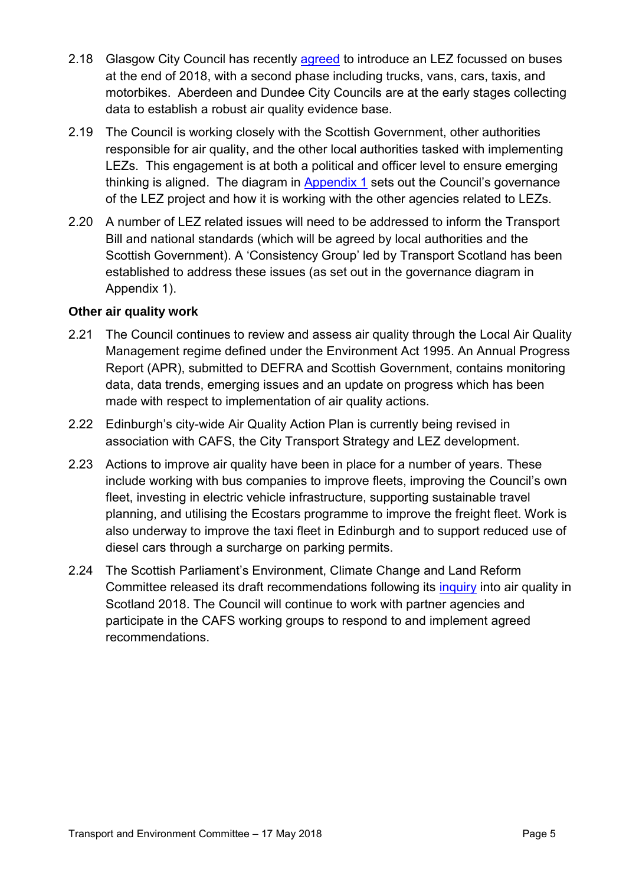- 2.18 Glasgow City Council has recently [agreed](https://www.glasgow.gov.uk/councillorsandcommittees/viewSelectedDocument.asp?c=P62AFQDN2U2UUTDN2U) to introduce an LEZ focussed on buses at the end of 2018, with a second phase including trucks, vans, cars, taxis, and motorbikes. Aberdeen and Dundee City Councils are at the early stages collecting data to establish a robust air quality evidence base.
- 2.19 The Council is working closely with the Scottish Government, other authorities responsible for air quality, and the other local authorities tasked with implementing LEZs. This engagement is at both a political and officer level to ensure emerging thinking is aligned. The diagram in [Appendix 1](#page-15-0) sets out the Council's governance of the LEZ project and how it is working with the other agencies related to LEZs.
- 2.20 A number of LEZ related issues will need to be addressed to inform the Transport Bill and national standards (which will be agreed by local authorities and the Scottish Government). A 'Consistency Group' led by Transport Scotland has been established to address these issues (as set out in the governance diagram in Appendix 1).

#### **Other air quality work**

- 2.21 The Council continues to review and assess air quality through the Local Air Quality Management regime defined under the Environment Act 1995. An Annual Progress Report (APR), submitted to DEFRA and Scottish Government, contains monitoring data, data trends, emerging issues and an update on progress which has been made with respect to implementation of air quality actions.
- 2.22 Edinburgh's city-wide Air Quality Action Plan is currently being revised in association with CAFS, the City Transport Strategy and LEZ development.
- 2.23 Actions to improve air quality have been in place for a number of years. These include working with bus companies to improve fleets, improving the Council's own fleet, investing in electric vehicle infrastructure, supporting sustainable travel planning, and utilising the Ecostars programme to improve the freight fleet. Work is also underway to [improve the taxi fleet in Edinburgh a](http://www.edinburgh.gov.uk/meetings/meeting/4352/regulatory_committee)nd to [support](https://consultationhub.edinburgh.gov.uk/sfc/parking-permit-diesel-surcharge/) reduced use of diesel cars through a surcharge on parking permits.
- 2.24 The Scottish Parliament's Environment, Climate Change and Land Reform Committee released its draft recommendations following its [inquiry](https://sp-bpr-en-prod-cdnep.azureedge.net/published/ECCLR/2018/2/28/Air-Quality-in-Scotland-Inquiry/ECCLRS052018R1.pdf) into air quality in Scotland 2018. The Council will continue to work with partner agencies and participate in the CAFS working groups to respond to and implement agreed recommendations.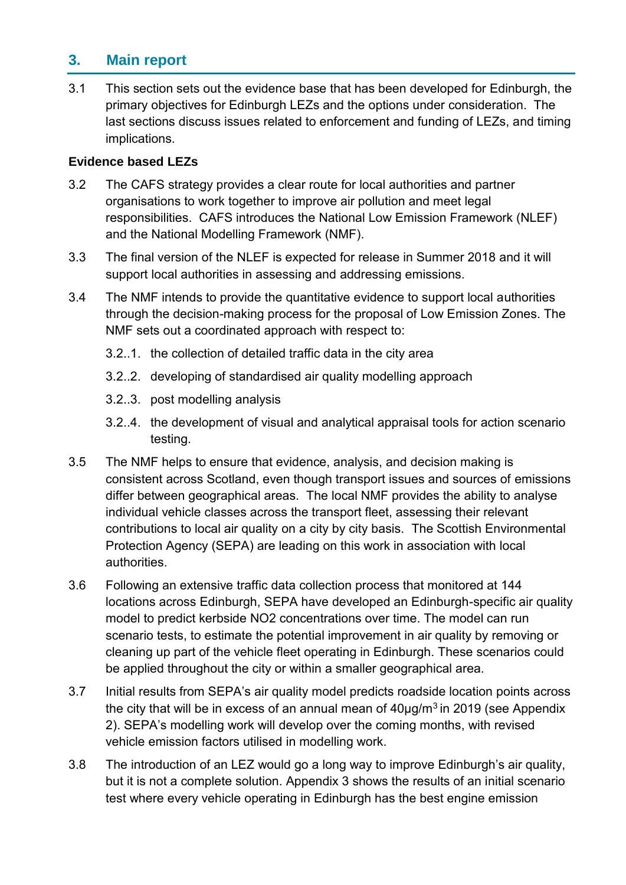# **3. Main report**

3.1 This section sets out the evidence base that has been developed for Edinburgh, the primary objectives for Edinburgh LEZs and the options under consideration. The last sections discuss issues related to enforcement and funding of LEZs, and timing implications.

#### **Evidence based LEZs**

- 3.2 The CAFS strategy provides a clear route for local authorities and partner organisations to work together to improve air pollution and meet legal responsibilities. CAFS introduces the National Low Emission Framework (NLEF) and the National Modelling Framework (NMF).
- 3.3 The final version of the NLEF is expected for release in Summer 2018 and it will support local authorities in assessing and addressing emissions.
- 3.4 The NMF intends to provide the quantitative evidence to support local authorities through the decision-making process for the proposal of Low Emission Zones. The NMF sets out a coordinated approach with respect to:
	- 3.2..1. the collection of detailed traffic data in the city area
	- 3.2..2. developing of standardised air quality modelling approach
	- 3.2..3. post modelling analysis
	- 3.2..4. the development of visual and analytical appraisal tools for action scenario testing.
- 3.5 The NMF helps to ensure that evidence, analysis, and decision making is consistent across Scotland, even though transport issues and sources of emissions differ between geographical areas. The local NMF provides the ability to analyse individual vehicle classes across the transport fleet, assessing their relevant contributions to local air quality on a city by city basis. The Scottish Environmental Protection Agency (SEPA) are leading on this work in association with local authorities.
- 3.6 Following an extensive traffic data collection process that monitored at 144 locations across Edinburgh, SEPA have developed an Edinburgh-specific air quality model to predict kerbside NO2 concentrations over time. The model can run scenario tests, to estimate the potential improvement in air quality by removing or cleaning up part of the vehicle fleet operating in Edinburgh. These scenarios could be applied throughout the city or within a smaller geographical area.
- 3.7 Initial results from SEPA's air quality model predicts roadside location points across the city that will be in excess of an annual mean of  $40\mu$ g/m<sup>3</sup> in 2019 (see Appendix 2). SEPA's modelling work will develop over the coming months, with revised vehicle emission factors utilised in modelling work.
- 3.8 The introduction of an LEZ would go a long way to improve Edinburgh's air quality, but it is not a complete solution. Appendix 3 shows the results of an initial scenario test where every vehicle operating in Edinburgh has the best engine emission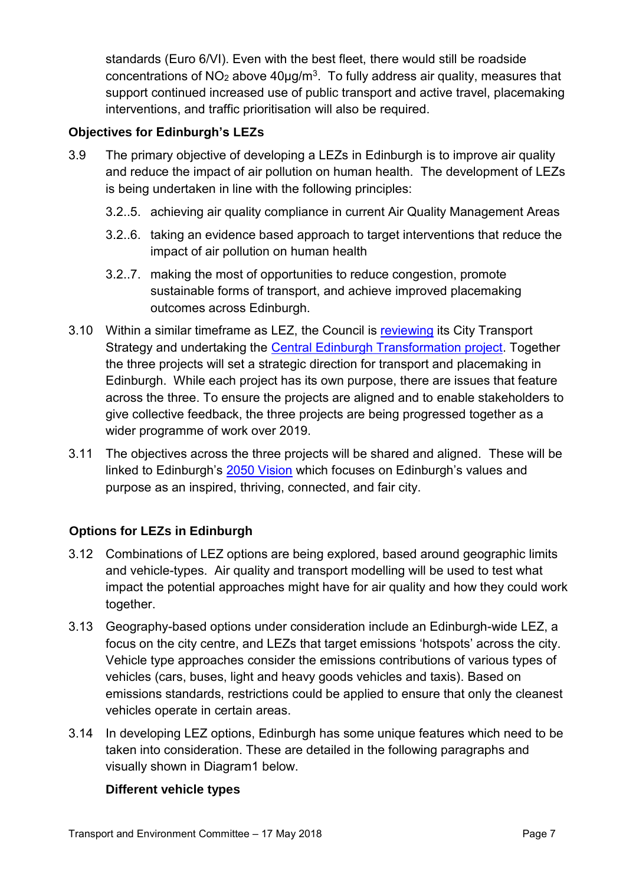standards (Euro 6/VI). Even with the best fleet, there would still be roadside concentrations of NO<sub>2</sub> above  $40\mu g/m<sup>3</sup>$ . To fully address air quality, measures that support continued increased use of public transport and active travel, placemaking interventions, and traffic prioritisation will also be required.

### **Objectives for Edinburgh's LEZs**

- 3.9 The primary objective of developing a LEZs in Edinburgh is to improve air quality and reduce the impact of air pollution on human health. The development of LEZs is being undertaken in line with the following principles:
	- 3.2..5. achieving air quality compliance in current Air Quality Management Areas
	- 3.2..6. taking an evidence based approach to target interventions that reduce the impact of air pollution on human health
	- 3.2..7. making the most of opportunities to reduce congestion, promote sustainable forms of transport, and achieve improved placemaking outcomes across Edinburgh.
- 3.10 Within a similar timeframe as LEZ, the Council is [reviewing](http://www.edinburgh.gov.uk/download/meetings/id/56282/item_71_-_edinburgh_s_local_transport_strategy_review) its City Transport Strategy and undertaking the [Central Edinburgh Transformation project.](http://www.edinburgh.gov.uk/download/meetings/id/54987/item_75_-_central_edinburgh_transformation_%E2%80%93_scoping_report) Together the three projects will set a strategic direction for transport and placemaking in Edinburgh. While each project has its own purpose, there are issues that feature across the three. To ensure the projects are aligned and to enable stakeholders to give collective feedback, the three projects are being progressed together as a wider programme of work over 2019.
- 3.11 The objectives across the three projects will be shared and aligned. These will be linked to Edinburgh's [2050 Vision](http://edinburgh.org/2050-edinburgh-city-vision/) which focuses on Edinburgh's values and purpose as an inspired, thriving, connected, and fair city.

#### **Options for LEZs in Edinburgh**

- 3.12 Combinations of LEZ options are being explored, based around geographic limits and vehicle-types. Air quality and transport modelling will be used to test what impact the potential approaches might have for air quality and how they could work together.
- 3.13 Geography-based options under consideration include an Edinburgh-wide LEZ, a focus on the city centre, and LEZs that target emissions 'hotspots' across the city. Vehicle type approaches consider the emissions contributions of various types of vehicles (cars, buses, light and heavy goods vehicles and taxis). Based on emissions standards, restrictions could be applied to ensure that only the cleanest vehicles operate in certain areas.
- 3.14 In developing LEZ options, Edinburgh has some unique features which need to be taken into consideration. These are detailed in the following paragraphs and visually shown in Diagram1 below.

#### **Different vehicle types**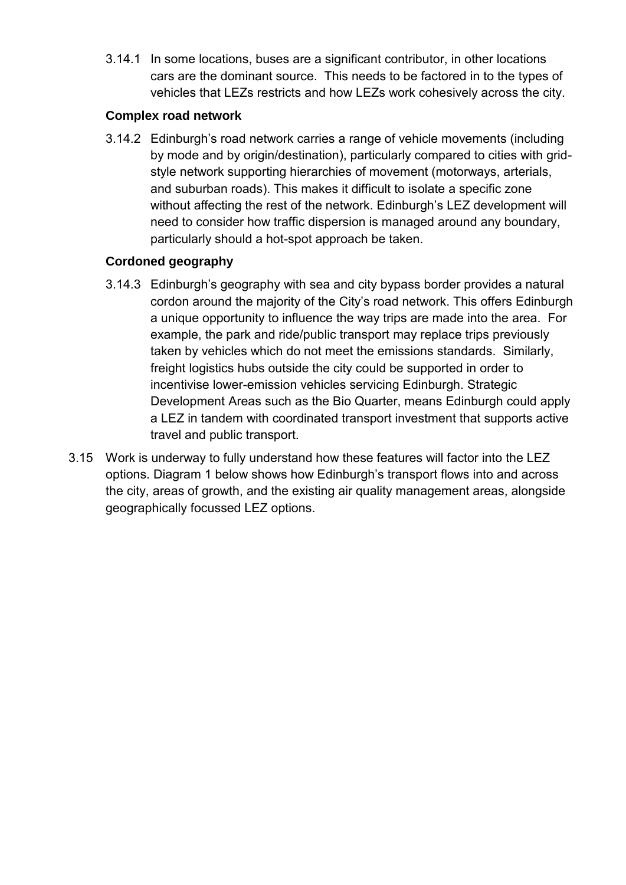3.14.1 In some locations, buses are a significant contributor, in other locations cars are the dominant source. This needs to be factored in to the types of vehicles that LEZs restricts and how LEZs work cohesively across the city.

#### **Complex road network**

3.14.2 Edinburgh's road network carries a range of vehicle movements (including by mode and by origin/destination), particularly compared to cities with gridstyle network supporting hierarchies of movement (motorways, arterials, and suburban roads). This makes it difficult to isolate a specific zone without affecting the rest of the network. Edinburgh's LEZ development will need to consider how traffic dispersion is managed around any boundary, particularly should a hot-spot approach be taken.

# **Cordoned geography**

- 3.14.3 Edinburgh's geography with sea and city bypass border provides a natural cordon around the majority of the City's road network. This offers Edinburgh a unique opportunity to influence the way trips are made into the area. For example, the park and ride/public transport may replace trips previously taken by vehicles which do not meet the emissions standards. Similarly, freight logistics hubs outside the city could be supported in order to incentivise lower-emission vehicles servicing Edinburgh. Strategic Development Areas such as the Bio Quarter, means Edinburgh could apply a LEZ in tandem with coordinated transport investment that supports active travel and public transport.
- 3.15 Work is underway to fully understand how these features will factor into the LEZ options. Diagram 1 below shows how Edinburgh's transport flows into and across the city, areas of growth, and the existing air quality management areas, alongside geographically focussed LEZ options.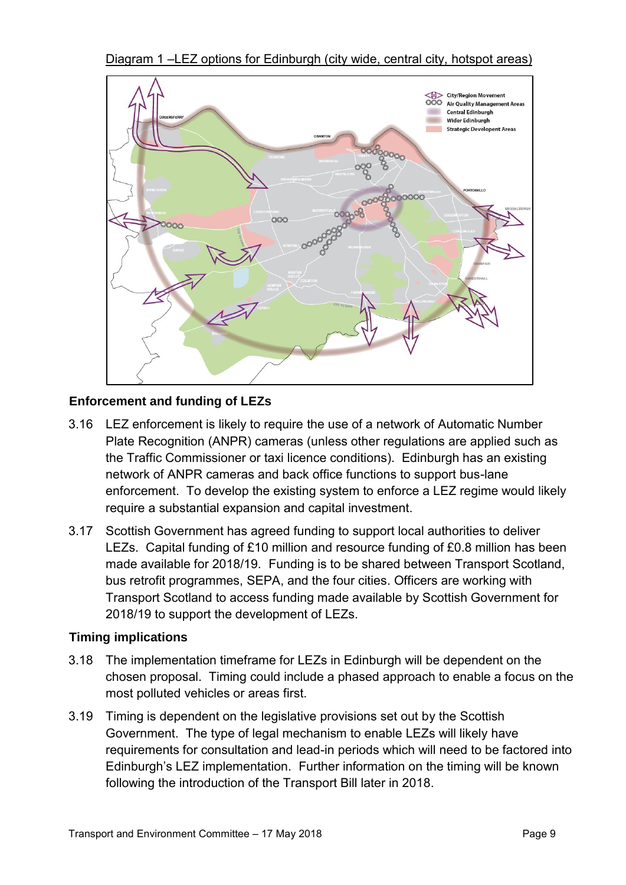Diagram 1 –LEZ options for Edinburgh (city wide, central city, hotspot areas)



### **Enforcement and funding of LEZs**

- 3.16 LEZ enforcement is likely to require the use of a network of Automatic Number Plate Recognition (ANPR) cameras (unless other regulations are applied such as the Traffic Commissioner or taxi licence conditions). Edinburgh has an existing network of ANPR cameras and back office functions to support bus-lane enforcement. To develop the existing system to enforce a LEZ regime would likely require a substantial expansion and capital investment.
- 3.17 Scottish Government has agreed funding to support local authorities to deliver LEZs. Capital funding of £10 million and resource funding of £0.8 million has been made available for 2018/19. Funding is to be shared between Transport Scotland, bus retrofit programmes, SEPA, and the four cities. Officers are working with Transport Scotland to access funding made available by Scottish Government for 2018/19 to support the development of LEZs.

#### **Timing implications**

- 3.18 The implementation timeframe for LEZs in Edinburgh will be dependent on the chosen proposal. Timing could include a phased approach to enable a focus on the most polluted vehicles or areas first.
- 3.19 Timing is dependent on the legislative provisions set out by the Scottish Government. The type of legal mechanism to enable LEZs will likely have requirements for consultation and lead-in periods which will need to be factored into Edinburgh's LEZ implementation. Further information on the timing will be known following the introduction of the Transport Bill later in 2018.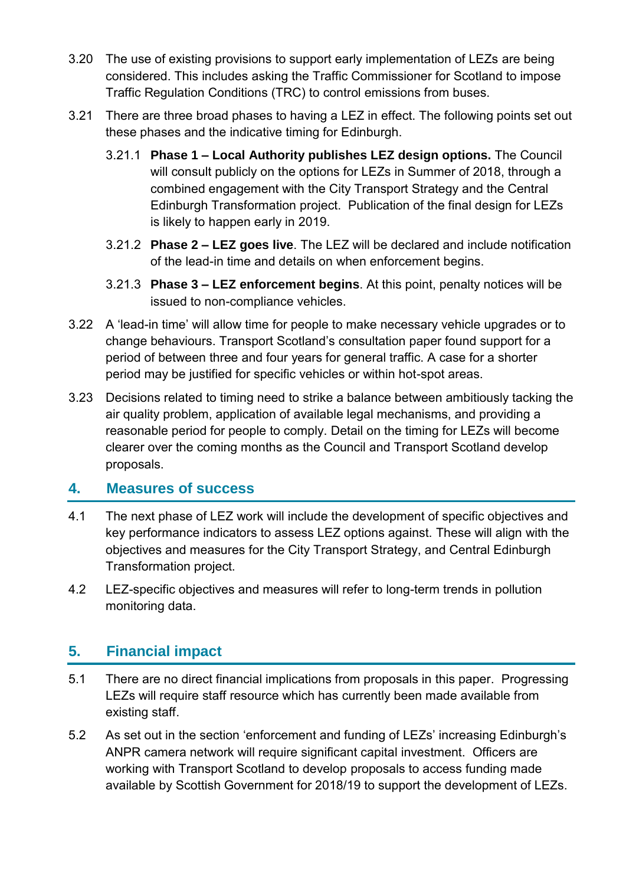- 3.20 The use of existing provisions to support early implementation of LEZs are being considered. This includes asking the Traffic Commissioner for Scotland to impose Traffic Regulation Conditions (TRC) to control emissions from buses.
- 3.21 There are three broad phases to having a LEZ in effect. The following points set out these phases and the indicative timing for Edinburgh.
	- 3.21.1 **Phase 1 – Local Authority publishes LEZ design options.** The Council will consult publicly on the options for LEZs in Summer of 2018, through a combined engagement with the City Transport Strategy and the Central Edinburgh Transformation project. Publication of the final design for LEZs is likely to happen early in 2019.
	- 3.21.2 **Phase 2 – LEZ goes live**. The LEZ will be declared and include notification of the lead-in time and details on when enforcement begins.
	- 3.21.3 **Phase 3 – LEZ enforcement begins**. At this point, penalty notices will be issued to non-compliance vehicles.
- 3.22 A 'lead-in time' will allow time for people to make necessary vehicle upgrades or to change behaviours. Transport Scotland's consultation paper found support for a period of between three and four years for general traffic. A case for a shorter period may be justified for specific vehicles or within hot-spot areas.
- 3.23 Decisions related to timing need to strike a balance between ambitiously tacking the air quality problem, application of available legal mechanisms, and providing a reasonable period for people to comply. Detail on the timing for LEZs will become clearer over the coming months as the Council and Transport Scotland develop proposals.

# **4. Measures of success**

- 4.1 The next phase of LEZ work will include the development of specific objectives and key performance indicators to assess LEZ options against. These will align with the objectives and measures for the City Transport Strategy, and Central Edinburgh Transformation project.
- 4.2 LEZ-specific objectives and measures will refer to long-term trends in pollution monitoring data.

# **5. Financial impact**

- 5.1 There are no direct financial implications from proposals in this paper. Progressing LEZs will require staff resource which has currently been made available from existing staff.
- 5.2 As set out in the section 'enforcement and funding of LEZs' increasing Edinburgh's ANPR camera network will require significant capital investment. Officers are working with Transport Scotland to develop proposals to access funding made available by Scottish Government for 2018/19 to support the development of LEZs.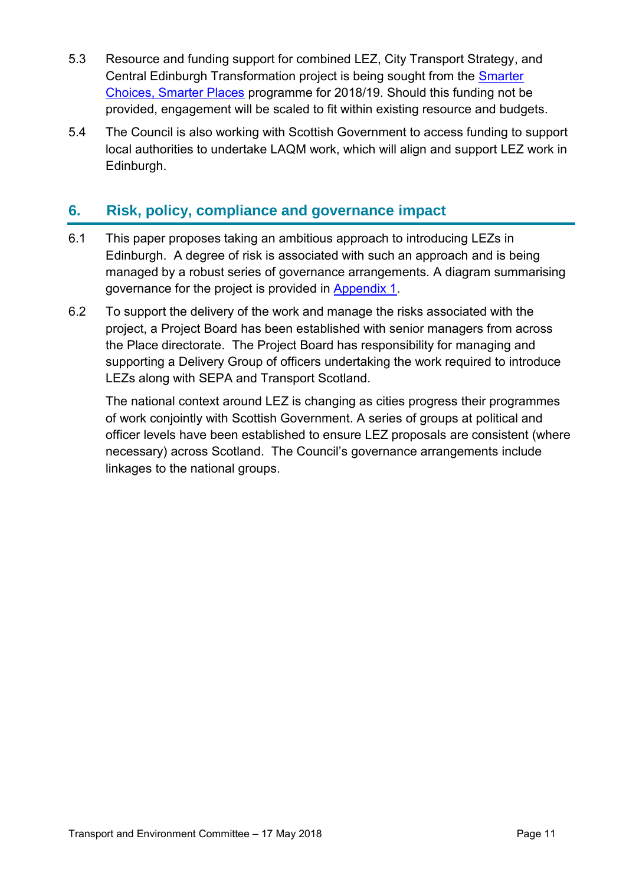- 5.3 Resource and funding support for combined LEZ, City Transport Strategy, and Central Edinburgh Transformation project is being sought from the [Smarter](https://www.pathsforall.org.uk/pfa/get-involved/smarter-choices-smarter-places-201718.html)  [Choices, Smarter Places](https://www.pathsforall.org.uk/pfa/get-involved/smarter-choices-smarter-places-201718.html) programme for 2018/19. Should this funding not be provided, engagement will be scaled to fit within existing resource and budgets.
- 5.4 The Council is also working with Scottish Government to access funding to support local authorities to undertake LAQM work, which will align and support LEZ work in Edinburgh.

# **6. Risk, policy, compliance and governance impact**

- 6.1 This paper proposes taking an ambitious approach to introducing LEZs in Edinburgh. A degree of risk is associated with such an approach and is being managed by a robust series of governance arrangements. A diagram summarising governance for the project is provided in [Appendix 1.](#page-15-0)
- 6.2 To support the delivery of the work and manage the risks associated with the project, a Project Board has been established with senior managers from across the Place directorate. The Project Board has responsibility for managing and supporting a Delivery Group of officers undertaking the work required to introduce LEZs along with SEPA and Transport Scotland.

The national context around LEZ is changing as cities progress their programmes of work conjointly with Scottish Government. A series of groups at political and officer levels have been established to ensure LEZ proposals are consistent (where necessary) across Scotland. The Council's governance arrangements include linkages to the national groups.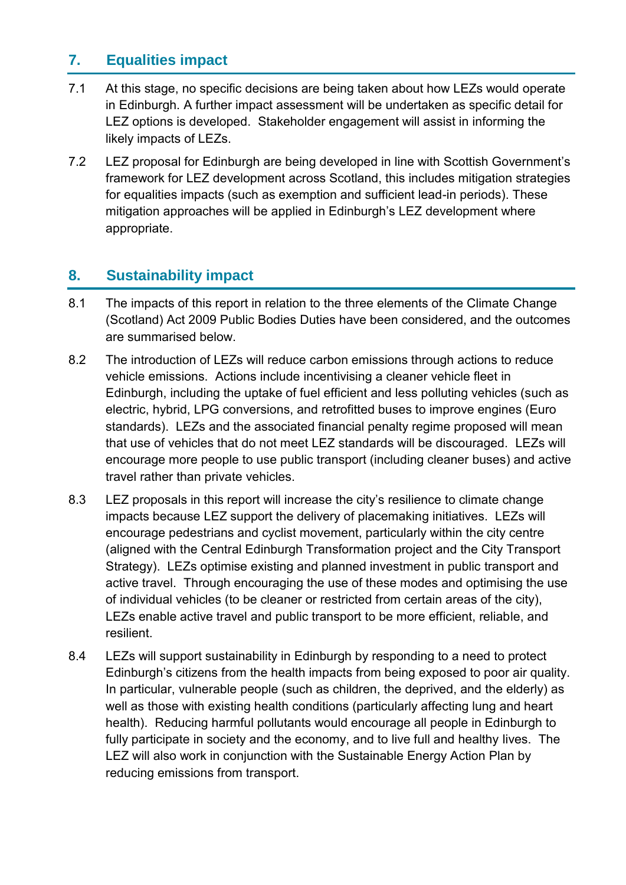# **7. Equalities impact**

- 7.1 At this stage, no specific decisions are being taken about how LEZs would operate in Edinburgh. A further impact assessment will be undertaken as specific detail for LEZ options is developed. Stakeholder engagement will assist in informing the likely impacts of LEZs.
- 7.2 LEZ proposal for Edinburgh are being developed in line with Scottish Government's framework for LEZ development across Scotland, this includes mitigation strategies for equalities impacts (such as exemption and sufficient lead-in periods). These mitigation approaches will be applied in Edinburgh's LEZ development where appropriate.

# **8. Sustainability impact**

- 8.1 The impacts of this report in relation to the three elements of the Climate Change (Scotland) Act 2009 Public Bodies Duties have been considered, and the outcomes are summarised below.
- 8.2 The introduction of LEZs will reduce carbon emissions through actions to reduce vehicle emissions. Actions include incentivising a cleaner vehicle fleet in Edinburgh, including the uptake of fuel efficient and less polluting vehicles (such as electric, hybrid, LPG conversions, and retrofitted buses to improve engines (Euro standards). LEZs and the associated financial penalty regime proposed will mean that use of vehicles that do not meet LEZ standards will be discouraged. LEZs will encourage more people to use public transport (including cleaner buses) and active travel rather than private vehicles.
- 8.3 LEZ proposals in this report will increase the city's resilience to climate change impacts because LEZ support the delivery of placemaking initiatives. LEZs will encourage pedestrians and cyclist movement, particularly within the city centre (aligned with the Central Edinburgh Transformation project and the City Transport Strategy). LEZs optimise existing and planned investment in public transport and active travel. Through encouraging the use of these modes and optimising the use of individual vehicles (to be cleaner or restricted from certain areas of the city), LEZs enable active travel and public transport to be more efficient, reliable, and resilient.
- 8.4 LEZs will support sustainability in Edinburgh by responding to a need to protect Edinburgh's citizens from the health impacts from being exposed to poor air quality. In particular, vulnerable people (such as children, the deprived, and the elderly) as well as those with existing health conditions (particularly affecting lung and heart health). Reducing harmful pollutants would encourage all people in Edinburgh to fully participate in society and the economy, and to live full and healthy lives. The LEZ will also work in conjunction with the Sustainable Energy Action Plan by reducing emissions from transport.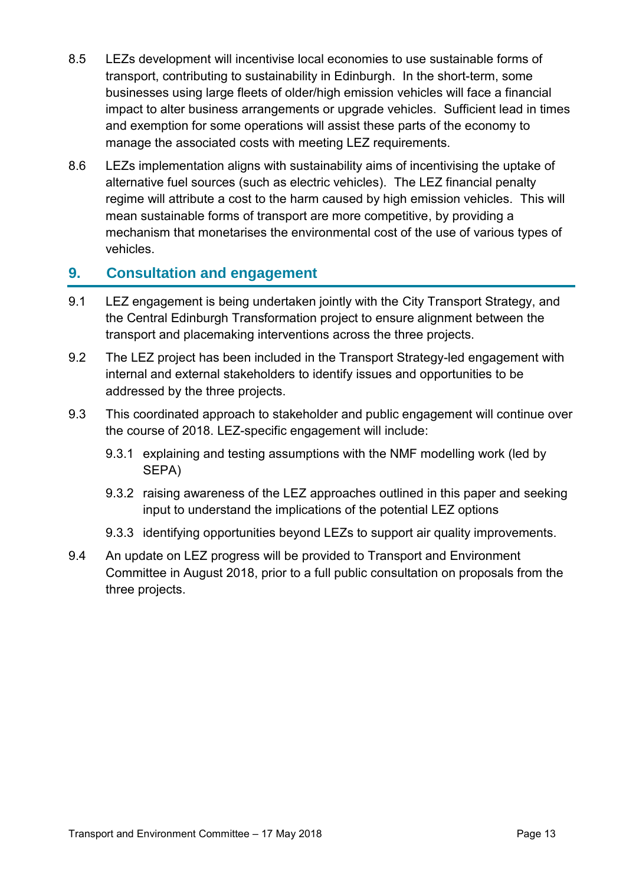- 8.5 LEZs development will incentivise local economies to use sustainable forms of transport, contributing to sustainability in Edinburgh. In the short-term, some businesses using large fleets of older/high emission vehicles will face a financial impact to alter business arrangements or upgrade vehicles. Sufficient lead in times and exemption for some operations will assist these parts of the economy to manage the associated costs with meeting LEZ requirements.
- 8.6 LEZs implementation aligns with sustainability aims of incentivising the uptake of alternative fuel sources (such as electric vehicles). The LEZ financial penalty regime will attribute a cost to the harm caused by high emission vehicles. This will mean sustainable forms of transport are more competitive, by providing a mechanism that monetarises the environmental cost of the use of various types of vehicles.

# **9. Consultation and engagement**

- 9.1 LEZ engagement is being undertaken jointly with the City Transport Strategy, and the Central Edinburgh Transformation project to ensure alignment between the transport and placemaking interventions across the three projects.
- 9.2 The LEZ project has been included in the Transport Strategy-led engagement with internal and external stakeholders to identify issues and opportunities to be addressed by the three projects.
- 9.3 This coordinated approach to stakeholder and public engagement will continue over the course of 2018. LEZ-specific engagement will include:
	- 9.3.1 explaining and testing assumptions with the NMF modelling work (led by SEPA)
	- 9.3.2 raising awareness of the LEZ approaches outlined in this paper and seeking input to understand the implications of the potential LEZ options
	- 9.3.3 identifying opportunities beyond LEZs to support air quality improvements.
- 9.4 An update on LEZ progress will be provided to Transport and Environment Committee in August 2018, prior to a full public consultation on proposals from the three projects.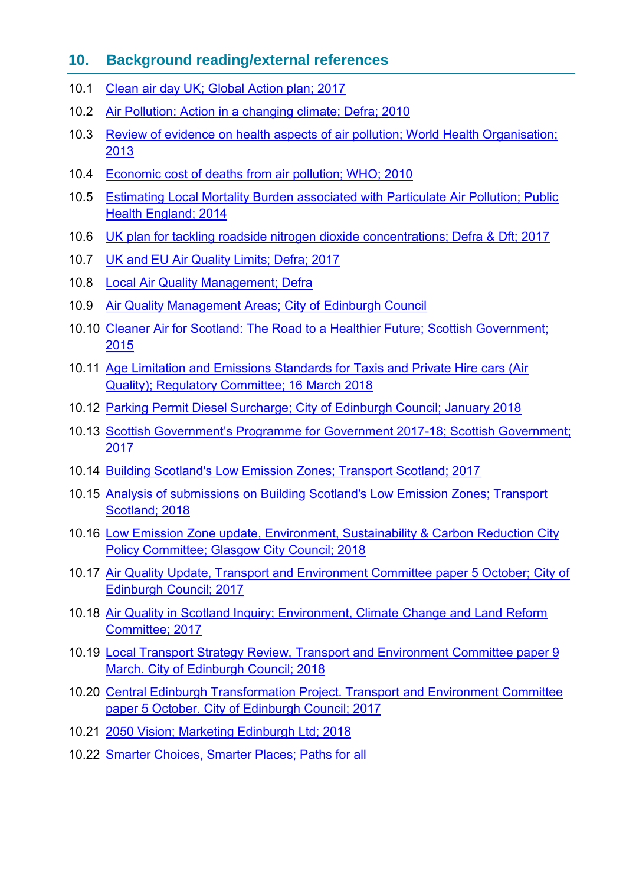# **10. Background reading/external references**

- 10.1 [Clean air day UK; Global Action plan; 2017](https://www.cleanairday.org.uk/references)
- 10.2 [Air Pollution: Action in a changing climate; Defra; 2010](https://www.gov.uk/government/uploads/system/uploads/attachment_data/file/69340/pb13378-air-pollution.pdf)
- 10.3 [Review of evidence on health aspects of air pollution; World Health Organisation;](http://www.euro.who.int/__data/assets/pdf_file/0004/193108/REVIHAAP-Final-technical-report-final-version.pdf?ua=1)  [2013](http://www.euro.who.int/__data/assets/pdf_file/0004/193108/REVIHAAP-Final-technical-report-final-version.pdf?ua=1)
- 10.4 [Economic cost of deaths from air pollution; WHO; 2010](http://www.euro.who.int/__data/assets/pdf_file/0008/276956/PR_Economics-Annex_en.pdf?ua=1)
- 10.5 [Estimating Local Mortality Burden associated with Particulate Air Pollution; Public](https://www.gov.uk/government/uploads/system/uploads/attachment_data/file/332854/PHE_CRCE_010.pdf)  [Health England; 2014](https://www.gov.uk/government/uploads/system/uploads/attachment_data/file/332854/PHE_CRCE_010.pdf)
- 10.6 [UK plan for tackling roadside nitrogen dioxide](https://www.gov.uk/government/uploads/system/uploads/attachment_data/file/633270/air-quality-plan-detail.pdf) concentrations; Defra & Dft; 2017
- 10.7 [UK and EU Air Quality Limits; Defra; 2017](https://uk-air.defra.gov.uk/assets/documents/Air_Quality_Objectives_Update.pdf)
- 10.8 [Local Air Quality Management; Defra](https://laqm.defra.gov.uk/)
- 10.9 [Air Quality Management Areas; City of Edinburgh Council](http://www.edinburgh.gov.uk/downloads/download/308/air_quality_management_areas)
- 10.10 [Cleaner Air for Scotland: The Road to a Healthier Future; Scottish Government;](http://www.gov.scot/Resource/0048/00488493.pdf)  [2015](http://www.gov.scot/Resource/0048/00488493.pdf)
- 10.11 Age [Limitation and Emissions Standards for Taxis and Private Hire cars \(Air](http://www.edinburgh.gov.uk/meetings/meeting/4352/regulatory_committee)  [Quality\); Regulatory Committee; 16 March 2018](http://www.edinburgh.gov.uk/meetings/meeting/4352/regulatory_committee)
- 10.12 [Parking Permit Diesel Surcharge; City of Edinburgh Council; January 2018](https://consultationhub.edinburgh.gov.uk/sfc/parking-permit-diesel-surcharge/)
- 10.13 Scottish Government's Programme for Government 2017-18; Scottish Government; [2017](http://www.gov.scot/Publications/2017/09/8468)
- 10.14 [Building Scotland's Low Emission Zones; Transport Scotland; 2017](https://consult.gov.scot/transport-scotland/building-scotlands-low-emission-zones/)
- 10.15 [Analysis of submissions on Building Scotland's Low Emission Zones; Transport](https://www.transport.gov.scot/news/responses-to-low-emission-zone-lez-consultation-now-analysed/)  [Scotland; 2018](https://www.transport.gov.scot/news/responses-to-low-emission-zone-lez-consultation-now-analysed/)
- 10.16 [Low Emission Zone update, Environment, Sustainability & Carbon Reduction City](https://www.glasgow.gov.uk/councillorsandcommittees/viewSelectedDocument.asp?c=P62AFQDN2U2UUTDN2U)  [Policy Committee; Glasgow City Council; 2018](https://www.glasgow.gov.uk/councillorsandcommittees/viewSelectedDocument.asp?c=P62AFQDN2U2UUTDN2U)
- 10.17 [Air Quality Update, Transport and Environment Committee paper 5 October; City of](http://www.edinburgh.gov.uk/download/meetings/id/54986/item_73_-_air_quality_update)  [Edinburgh Council; 2017](http://www.edinburgh.gov.uk/download/meetings/id/54986/item_73_-_air_quality_update)
- 10.18 Air Quality in [Scotland Inquiry; Environment, Climate Change and Land Reform](https://sp-bpr-en-prod-cdnep.azureedge.net/published/ECCLR/2018/2/28/Air-Quality-in-Scotland-Inquiry/ECCLRS052018R1.pdf)  [Committee; 2017](https://sp-bpr-en-prod-cdnep.azureedge.net/published/ECCLR/2018/2/28/Air-Quality-in-Scotland-Inquiry/ECCLRS052018R1.pdf)
- 10.19 [Local Transport Strategy Review, Transport and Environment Committee paper 9](http://www.edinburgh.gov.uk/download/meetings/id/56282/item_71_-_edinburgh_s_local_transport_strategy_review)  [March. City of Edinburgh Council; 2018](http://www.edinburgh.gov.uk/download/meetings/id/56282/item_71_-_edinburgh_s_local_transport_strategy_review)
- 10.20 [Central Edinburgh Transformation Project. Transport and Environment Committee](http://www.edinburgh.gov.uk/download/meetings/id/54987/item_75_-_central_edinburgh_transformation_%E2%80%93_scoping_report)  [paper 5 October. City of Edinburgh Council; 2017](http://www.edinburgh.gov.uk/download/meetings/id/54987/item_75_-_central_edinburgh_transformation_%E2%80%93_scoping_report)
- 10.21 [2050 Vision; Marketing Edinburgh Ltd; 2018](http://edinburgh.org/2050-edinburgh-city-vision/)
- 10.22 [Smarter Choices, Smarter Places; Paths for all](https://www.pathsforall.org.uk/pfa/get-involved/smarter-choices-smarter-places-201718.html)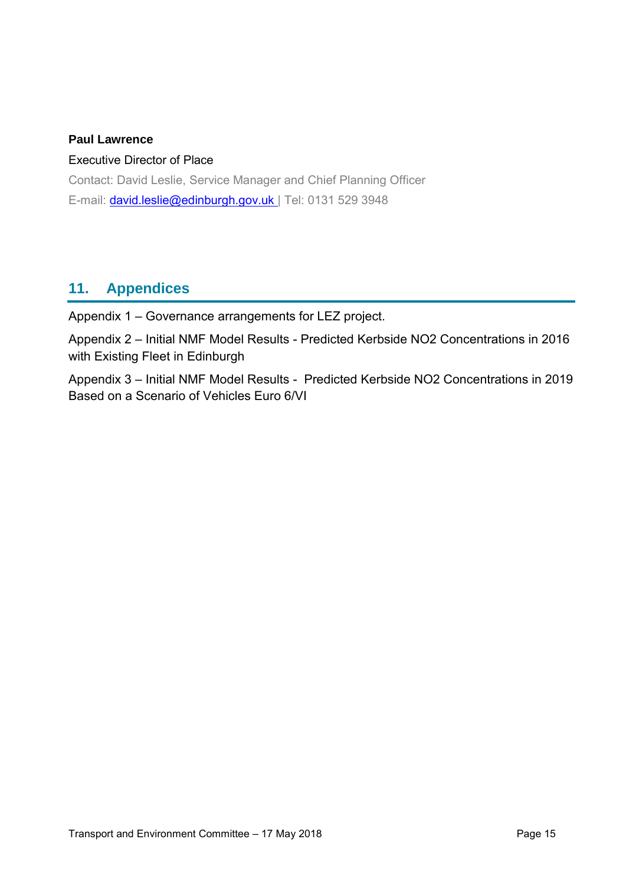#### **Paul Lawrence**

#### Executive Director of Place

Contact: David Leslie, Service Manager and Chief Planning Officer E-mail: david.leslie@edinburgh.gov.uk | Tel: 0131 529 3948

# **11. Appendices**

Appendix 1 – Governance arrangements for LEZ project.

Appendix 2 – Initial NMF Model Results - Predicted Kerbside NO2 Concentrations in 2016 with Existing Fleet in Edinburgh

Appendix 3 – Initial NMF Model Results - Predicted Kerbside NO2 Concentrations in 2019 Based on a Scenario of Vehicles Euro 6/VI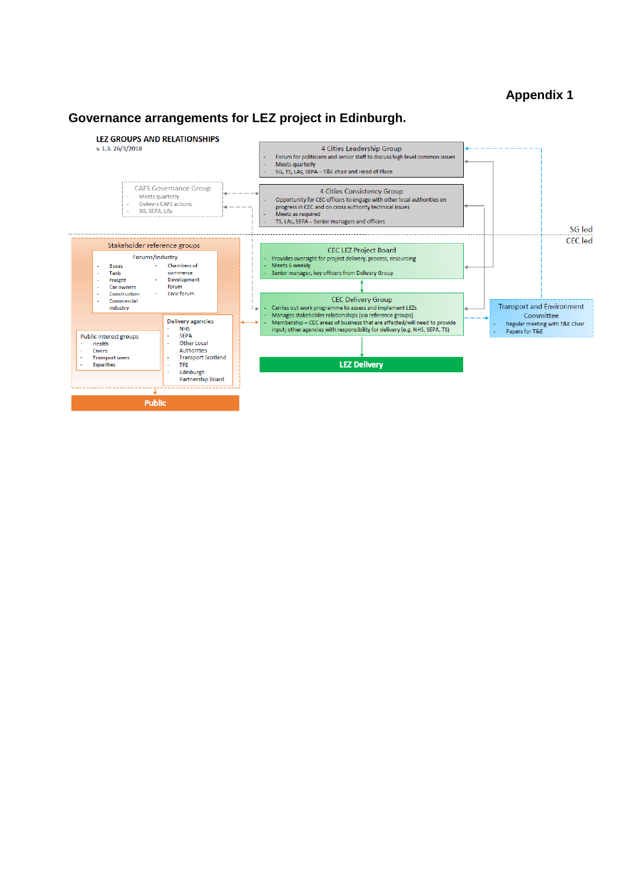#### <span id="page-15-0"></span>**Appendix 1**

#### **Governance arrangements for LEZ project in Edinburgh.**

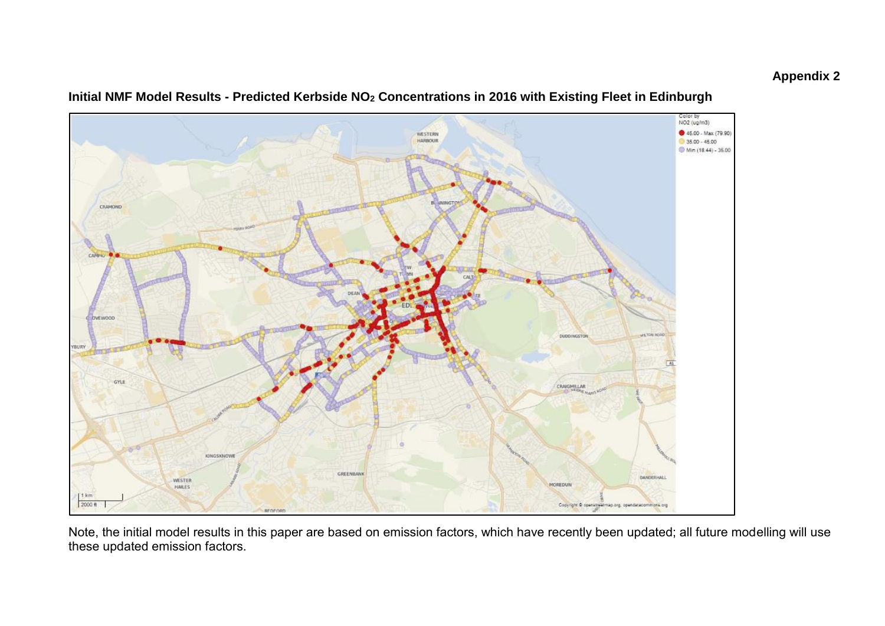

#### **Initial NMF Model Results - Predicted Kerbside NO<sup>2</sup> Concentrations in 2016 with Existing Fleet in Edinburgh**

Note, the initial model results in this paper are based on emission factors, which have recently been updated; all future modelling will use these updated emission factors.